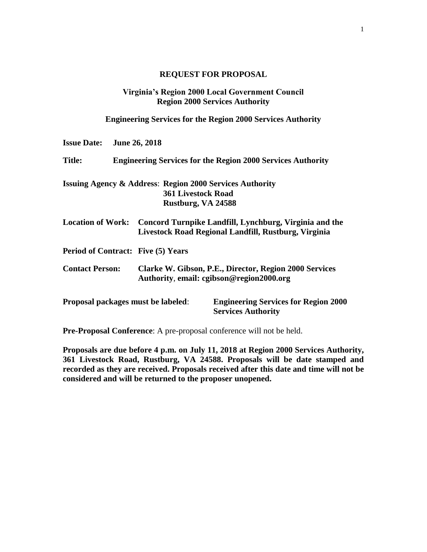# **REQUEST FOR PROPOSAL**

# **Virginia's Region 2000 Local Government Council Region 2000 Services Authority**

**Engineering Services for the Region 2000 Services Authority**

| <b>Issue Date:</b>     |                                                                    | <b>June 26, 2018</b>                            |                                                                                                                                  |
|------------------------|--------------------------------------------------------------------|-------------------------------------------------|----------------------------------------------------------------------------------------------------------------------------------|
| <b>Title:</b>          | <b>Engineering Services for the Region 2000 Services Authority</b> |                                                 |                                                                                                                                  |
|                        |                                                                    | <b>361 Livestock Road</b><br>Rustburg, VA 24588 | <b>Issuing Agency &amp; Address: Region 2000 Services Authority</b>                                                              |
|                        |                                                                    |                                                 | Location of Work: Concord Turnpike Landfill, Lynchburg, Virginia and the<br>Livestock Road Regional Landfill, Rustburg, Virginia |
|                        |                                                                    | <b>Period of Contract: Five (5) Years</b>       |                                                                                                                                  |
| <b>Contact Person:</b> |                                                                    |                                                 | Clarke W. Gibson, P.E., Director, Region 2000 Services<br>Authority, email: cgibson@region2000.org                               |
|                        |                                                                    | Proposal packages must be labeled:              | <b>Engineering Services for Region 2000</b><br><b>Services Authority</b>                                                         |

**Pre-Proposal Conference**: A pre-proposal conference will not be held.

**Proposals are due before 4 p.m. on July 11, 2018 at Region 2000 Services Authority, 361 Livestock Road, Rustburg, VA 24588. Proposals will be date stamped and recorded as they are received. Proposals received after this date and time will not be considered and will be returned to the proposer unopened.**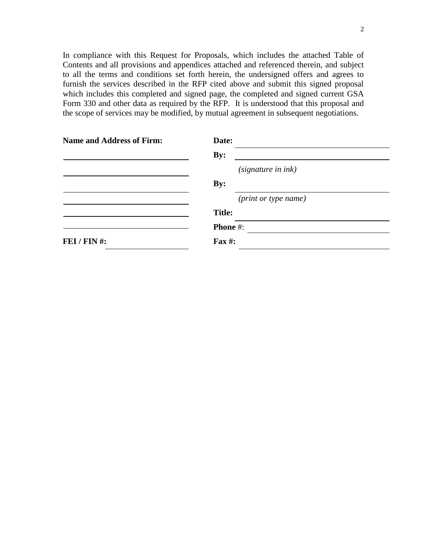In compliance with this Request for Proposals, which includes the attached Table of Contents and all provisions and appendices attached and referenced therein, and subject to all the terms and conditions set forth herein, the undersigned offers and agrees to furnish the services described in the RFP cited above and submit this signed proposal which includes this completed and signed page, the completed and signed current GSA Form 330 and other data as required by the RFP. It is understood that this proposal and the scope of services may be modified, by mutual agreement in subsequent negotiations.

| <b>Name and Address of Firm:</b> | Date:                |
|----------------------------------|----------------------|
|                                  | By:                  |
|                                  | (signature in ink)   |
|                                  | By:                  |
|                                  | (print or type name) |
|                                  | <b>Title:</b>        |
|                                  | <b>Phone #:</b>      |
| FEI / FIN #:                     | Fax #:               |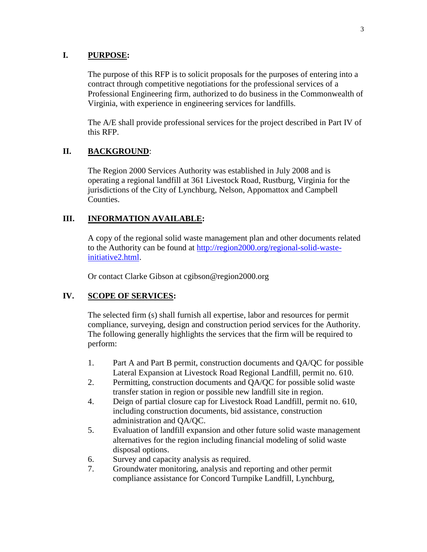# **I. PURPOSE:**

The purpose of this RFP is to solicit proposals for the purposes of entering into a contract through competitive negotiations for the professional services of a Professional Engineering firm, authorized to do business in the Commonwealth of Virginia, with experience in engineering services for landfills.

The A/E shall provide professional services for the project described in Part IV of this RFP.

# **II. BACKGROUND**:

The Region 2000 Services Authority was established in July 2008 and is operating a regional landfill at 361 Livestock Road, Rustburg, Virginia for the jurisdictions of the City of Lynchburg, Nelson, Appomattox and Campbell Counties.

# **III. INFORMATION AVAILABLE:**

A copy of the regional solid waste management plan and other documents related to the Authority can be found at [http://region2000.org/regional-solid-waste](http://region2000.org/regional-solid-waste-initiative2.html)[initiative2.html.](http://region2000.org/regional-solid-waste-initiative2.html)

Or contact Clarke Gibson at cgibson@region2000.org

# **IV. SCOPE OF SERVICES:**

The selected firm (s) shall furnish all expertise, labor and resources for permit compliance, surveying, design and construction period services for the Authority. The following generally highlights the services that the firm will be required to perform:

- 1. Part A and Part B permit, construction documents and QA/QC for possible Lateral Expansion at Livestock Road Regional Landfill, permit no. 610.
- 2. Permitting, construction documents and QA/QC for possible solid waste transfer station in region or possible new landfill site in region.
- 4. Deign of partial closure cap for Livestock Road Landfill, permit no. 610, including construction documents, bid assistance, construction administration and QA/QC.
- 5. Evaluation of landfill expansion and other future solid waste management alternatives for the region including financial modeling of solid waste disposal options.
- 6. Survey and capacity analysis as required.
- 7. Groundwater monitoring, analysis and reporting and other permit compliance assistance for Concord Turnpike Landfill, Lynchburg,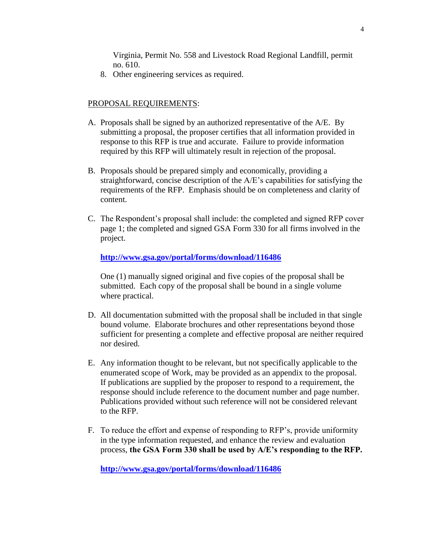Virginia, Permit No. 558 and Livestock Road Regional Landfill, permit no. 610.

8. Other engineering services as required.

### PROPOSAL REQUIREMENTS:

- A. Proposals shall be signed by an authorized representative of the A/E. By submitting a proposal, the proposer certifies that all information provided in response to this RFP is true and accurate. Failure to provide information required by this RFP will ultimately result in rejection of the proposal.
- B. Proposals should be prepared simply and economically, providing a straightforward, concise description of the A/E's capabilities for satisfying the requirements of the RFP. Emphasis should be on completeness and clarity of content.
- C. The Respondent's proposal shall include: the completed and signed RFP cover page 1; the completed and signed GSA Form 330 for all firms involved in the project.

#### **<http://www.gsa.gov/portal/forms/download/116486>**

One (1) manually signed original and five copies of the proposal shall be submitted. Each copy of the proposal shall be bound in a single volume where practical.

- D. All documentation submitted with the proposal shall be included in that single bound volume. Elaborate brochures and other representations beyond those sufficient for presenting a complete and effective proposal are neither required nor desired.
- E. Any information thought to be relevant, but not specifically applicable to the enumerated scope of Work, may be provided as an appendix to the proposal. If publications are supplied by the proposer to respond to a requirement, the response should include reference to the document number and page number. Publications provided without such reference will not be considered relevant to the RFP.
- F. To reduce the effort and expense of responding to RFP's, provide uniformity in the type information requested, and enhance the review and evaluation process, **the GSA Form 330 shall be used by A/E's responding to the RFP.**

**<http://www.gsa.gov/portal/forms/download/116486>**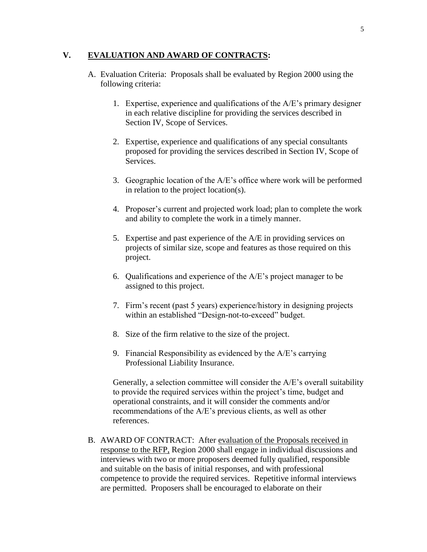## **V. EVALUATION AND AWARD OF CONTRACTS:**

- A. Evaluation Criteria: Proposals shall be evaluated by Region 2000 using the following criteria:
	- 1. Expertise, experience and qualifications of the A/E's primary designer in each relative discipline for providing the services described in Section IV, Scope of Services.
	- 2. Expertise, experience and qualifications of any special consultants proposed for providing the services described in Section IV, Scope of Services.
	- 3. Geographic location of the A/E's office where work will be performed in relation to the project location(s).
	- 4. Proposer's current and projected work load; plan to complete the work and ability to complete the work in a timely manner.
	- 5. Expertise and past experience of the A/E in providing services on projects of similar size, scope and features as those required on this project.
	- 6. Qualifications and experience of the A/E's project manager to be assigned to this project.
	- 7. Firm's recent (past 5 years) experience/history in designing projects within an established "Design-not-to-exceed" budget.
	- 8. Size of the firm relative to the size of the project.
	- 9. Financial Responsibility as evidenced by the A/E's carrying Professional Liability Insurance.

Generally, a selection committee will consider the A/E's overall suitability to provide the required services within the project's time, budget and operational constraints, and it will consider the comments and/or recommendations of the A/E's previous clients, as well as other references.

B. AWARD OF CONTRACT: After evaluation of the Proposals received in response to the RFP, Region 2000 shall engage in individual discussions and interviews with two or more proposers deemed fully qualified, responsible and suitable on the basis of initial responses, and with professional competence to provide the required services. Repetitive informal interviews are permitted. Proposers shall be encouraged to elaborate on their